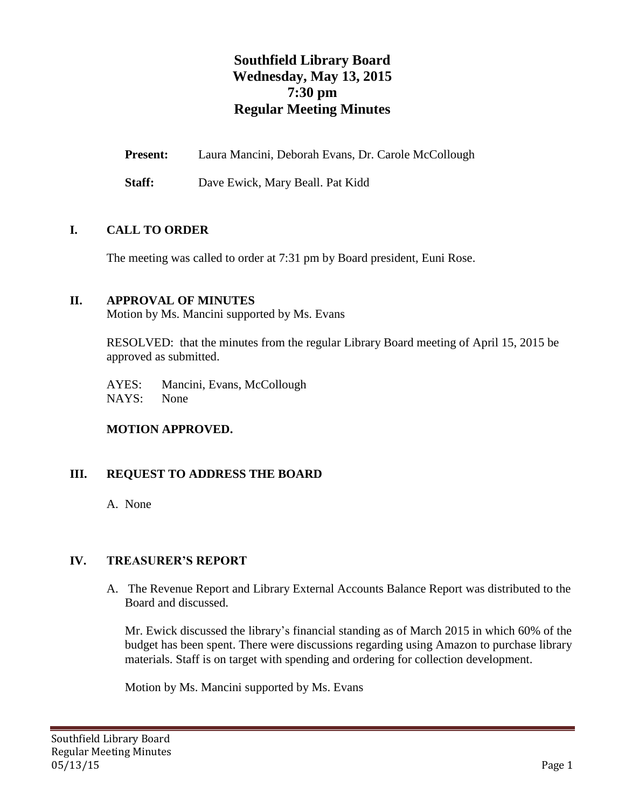# **Southfield Library Board Wednesday, May 13, 2015 7:30 pm Regular Meeting Minutes**

**Present:** Laura Mancini, Deborah Evans, Dr. Carole McCollough

**Staff:** Dave Ewick, Mary Beall. Pat Kidd

## **I. CALL TO ORDER**

The meeting was called to order at 7:31 pm by Board president, Euni Rose.

## **II. APPROVAL OF MINUTES**

Motion by Ms. Mancini supported by Ms. Evans

RESOLVED: that the minutes from the regular Library Board meeting of April 15, 2015 be approved as submitted.

AYES: Mancini, Evans, McCollough NAYS: None

## **MOTION APPROVED.**

## **III. REQUEST TO ADDRESS THE BOARD**

A. None

## **IV. TREASURER'S REPORT**

A. The Revenue Report and Library External Accounts Balance Report was distributed to the Board and discussed.

Mr. Ewick discussed the library's financial standing as of March 2015 in which 60% of the budget has been spent. There were discussions regarding using Amazon to purchase library materials. Staff is on target with spending and ordering for collection development.

Motion by Ms. Mancini supported by Ms. Evans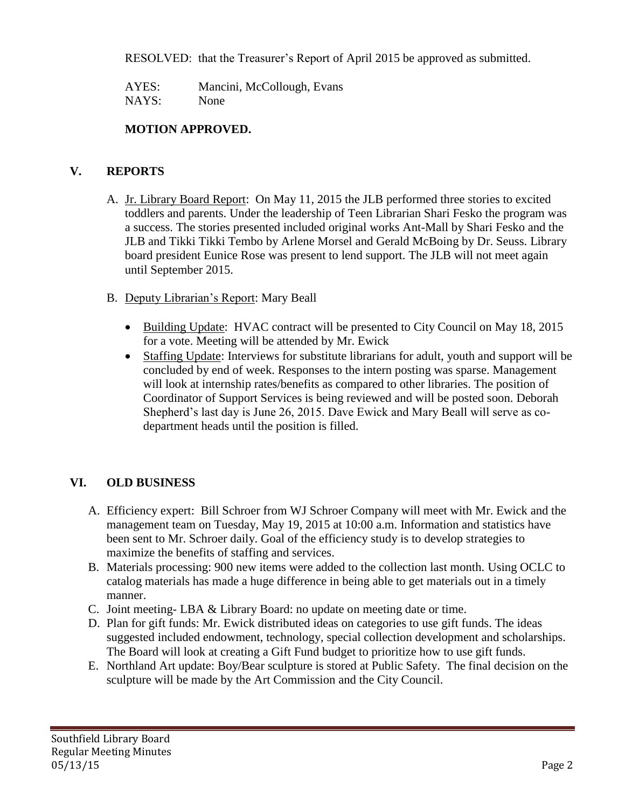RESOLVED: that the Treasurer's Report of April 2015 be approved as submitted.

AYES: Mancini, McCollough, Evans NAYS: None

## **MOTION APPROVED.**

## **V. REPORTS**

- A. Jr. Library Board Report: On May 11, 2015 the JLB performed three stories to excited toddlers and parents. Under the leadership of Teen Librarian Shari Fesko the program was a success. The stories presented included original works Ant-Mall by Shari Fesko and the JLB and Tikki Tikki Tembo by Arlene Morsel and Gerald McBoing by Dr. Seuss. Library board president Eunice Rose was present to lend support. The JLB will not meet again until September 2015.
- B. Deputy Librarian's Report: Mary Beall
	- Building Update: HVAC contract will be presented to City Council on May 18, 2015 for a vote. Meeting will be attended by Mr. Ewick
	- Staffing Update: Interviews for substitute librarians for adult, youth and support will be concluded by end of week. Responses to the intern posting was sparse. Management will look at internship rates/benefits as compared to other libraries. The position of Coordinator of Support Services is being reviewed and will be posted soon. Deborah Shepherd's last day is June 26, 2015. Dave Ewick and Mary Beall will serve as codepartment heads until the position is filled.

## **VI. OLD BUSINESS**

- A. Efficiency expert: Bill Schroer from WJ Schroer Company will meet with Mr. Ewick and the management team on Tuesday, May 19, 2015 at 10:00 a.m. Information and statistics have been sent to Mr. Schroer daily. Goal of the efficiency study is to develop strategies to maximize the benefits of staffing and services.
- B. Materials processing: 900 new items were added to the collection last month. Using OCLC to catalog materials has made a huge difference in being able to get materials out in a timely manner.
- C. Joint meeting- LBA & Library Board: no update on meeting date or time.
- D. Plan for gift funds: Mr. Ewick distributed ideas on categories to use gift funds. The ideas suggested included endowment, technology, special collection development and scholarships. The Board will look at creating a Gift Fund budget to prioritize how to use gift funds.
- E. Northland Art update: Boy/Bear sculpture is stored at Public Safety. The final decision on the sculpture will be made by the Art Commission and the City Council.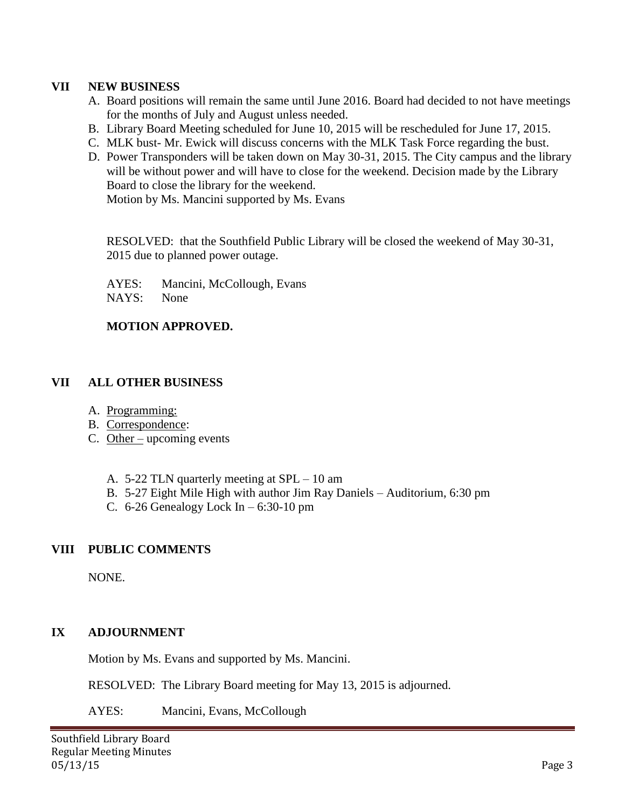#### **VII NEW BUSINESS**

- A. Board positions will remain the same until June 2016. Board had decided to not have meetings for the months of July and August unless needed.
- B. Library Board Meeting scheduled for June 10, 2015 will be rescheduled for June 17, 2015.
- C. MLK bust- Mr. Ewick will discuss concerns with the MLK Task Force regarding the bust.
- D. Power Transponders will be taken down on May 30-31, 2015. The City campus and the library will be without power and will have to close for the weekend. Decision made by the Library Board to close the library for the weekend.

Motion by Ms. Mancini supported by Ms. Evans

RESOLVED: that the Southfield Public Library will be closed the weekend of May 30-31, 2015 due to planned power outage.

AYES: Mancini, McCollough, Evans

NAYS: None

#### **MOTION APPROVED.**

## **VII ALL OTHER BUSINESS**

- A. Programming:
- B. Correspondence:
- C. Other upcoming events
	- A. 5-22 TLN quarterly meeting at SPL 10 am
	- B. 5-27 Eight Mile High with author Jim Ray Daniels Auditorium, 6:30 pm
	- C. 6-26 Genealogy Lock In  $-6:30-10$  pm

## **VIII PUBLIC COMMENTS**

NONE.

## **IX ADJOURNMENT**

Motion by Ms. Evans and supported by Ms. Mancini.

RESOLVED: The Library Board meeting for May 13, 2015 is adjourned.

AYES: Mancini, Evans, McCollough